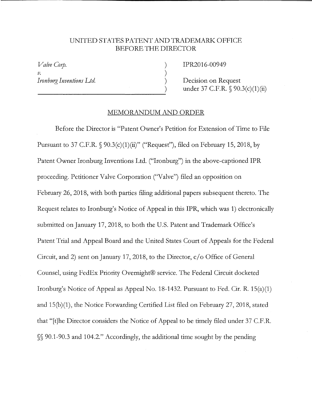## UNITED STATES PATENT AND TRADEMARK OFFICE BEFORE THE DIRECTOR

) ) ) )

*Valve Corp.*  V. *Ironburg Inventions Ltd*  IPR2016-00949

Decision on Request under 37 C.F.R. § 90.3(c)(1)(ii)

## MEMORANDUM AND ORDER

Before the Director is "Patent Owner's Petition for Extension of Time to File Pursuant to 37 C.F.R.  $\S$  90.3(c)(1)(ii)" ("Request"), filed on February 15, 2018, by Patent Owner Ironburg Inventions Ltd. ("Ironburg") in the above-captioned IPR proceeding. Petitioner Valve Corporation ("Valve") filed an opposition on February 26, 2018, with both parties filing additional papers subsequent thereto. The Request relates to Ironburg's Notice of Appeal in this IPR, which was 1) electronically submitted on January 17, 2018, to both the U.S. Patent and Trademark Office's Patent Trial and Appeal Board and the United States Court of Appeals for the Federal Circuit, and 2) sent on January 17, 2018, to the Director, c/o Office of General Counsel, using FedEx Priority Overnight® service. The Federal Circuit docketed Ironburg's Notice of Appeal as Appeal No. 18-1432. Pursuant to Fed. Cir. R. 15(a)(1) and 15(b)(1), the Notice Forwarding Certified List filed on February 27, 2018, stated that "[t]he Director considers the Notice of Appeal to be timely filed under 37 C.F.R. §§ 90.1-90.3 and 104.2." Accordingly, the additional time sought by the pending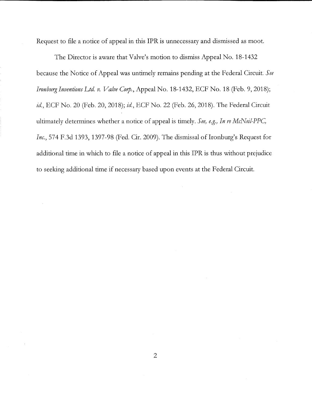Request to file a notice of appeal in this IPR is unnecessary and dismissed as moot.

The Director is aware that Valve's motion to dismiss Appeal No. 18-1432 because the Notice of Appeal was untimely remains pending at the Federal Circuit. *See Ironburg Inventions Ltd v. Valve Corp.,* Appeal No. 18-1432, ECF No. 18 (Feb. 9, 2018); *id,* ECF No. 20 (Feb. 20, 2018); *id,* ECF No. 22 (Feb. 26, 2018). The Federal Circuit ultimately determines whether a notice of appeal is timely. *See, e.g., In re McNeil-PFC, Inc.*, 574 F.3d 1393, 1397-98 (Fed. Cir. 2009). The dismissal of Ironburg's Request for additional time in which to file a notice of appeal in this IPR is thus without prejudice to seeking additional time if necessary based upon events at the Federal Circuit.